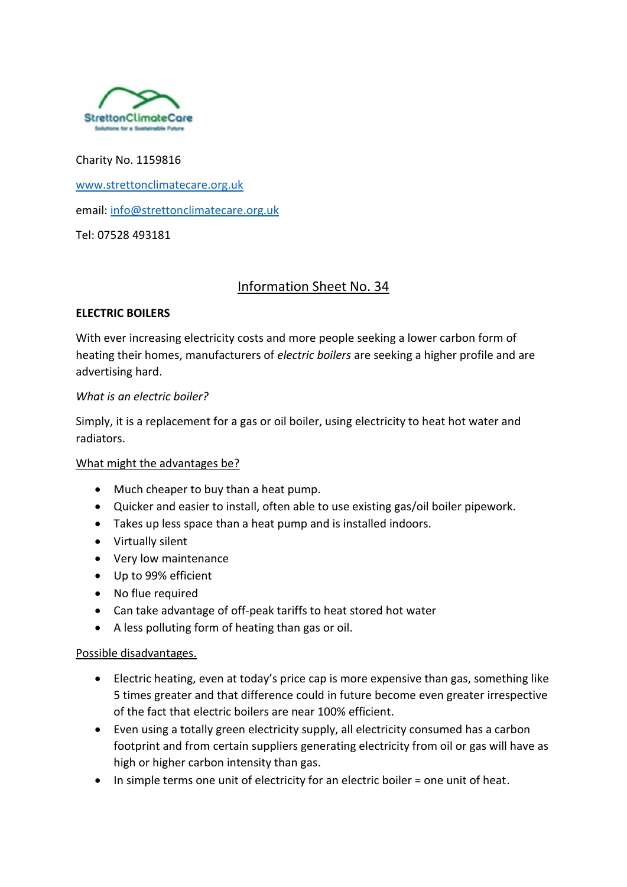

Charity No. 1159816

www.strettonclimatecare.org.uk

email: info@strettonclimatecare.org.uk

Tel: 07528 493181

# Information Sheet No. 34

#### **ELECTRIC BOILERS**

With ever increasing electricity costs and more people seeking a lower carbon form of heating their homes, manufacturers of *electric boilers* are seeking a higher profile and are advertising hard.

## *What is an electric boiler?*

Simply, it is a replacement for a gas or oil boiler, using electricity to heat hot water and radiators.

## What might the advantages be?

- Much cheaper to buy than a heat pump.
- Quicker and easier to install, often able to use existing gas/oil boiler pipework.
- Takes up less space than a heat pump and is installed indoors.
- Virtually silent
- Very low maintenance
- Up to 99% efficient
- No flue required
- Can take advantage of off-peak tariffs to heat stored hot water
- A less polluting form of heating than gas or oil.

#### Possible disadvantages.

- Electric heating, even at today's price cap is more expensive than gas, something like 5 times greater and that difference could in future become even greater irrespective of the fact that electric boilers are near 100% efficient.
- Even using a totally green electricity supply, all electricity consumed has a carbon footprint and from certain suppliers generating electricity from oil or gas will have as high or higher carbon intensity than gas.
- In simple terms one unit of electricity for an electric boiler = one unit of heat.